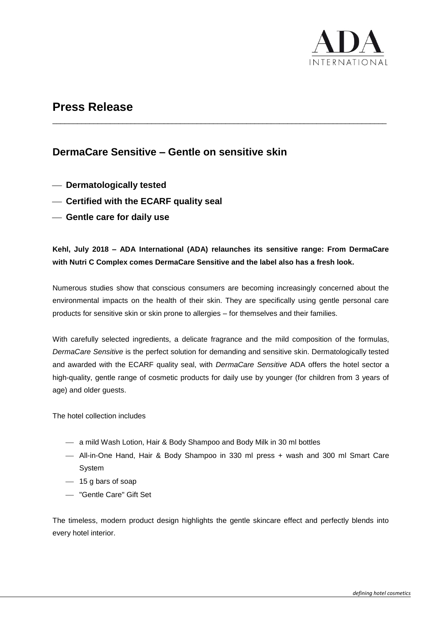

## **Press Release**

## **DermaCare Sensitive – Gentle on sensitive skin**

- **Dermatologically tested**
- **Certified with the ECARF quality seal**
- **Gentle care for daily use**

### **Kehl, July 2018 – ADA International (ADA) relaunches its sensitive range: From DermaCare with Nutri C Complex comes DermaCare Sensitive and the label also has a fresh look.**

\_\_\_\_\_\_\_\_\_\_\_\_\_\_\_\_\_\_\_\_\_\_\_\_\_\_\_\_\_\_\_\_\_\_\_\_\_\_\_\_\_\_\_\_\_\_\_\_\_\_\_\_\_\_\_\_\_\_\_\_\_\_\_\_\_\_\_\_\_\_\_\_\_\_\_\_\_\_\_\_\_

Numerous studies show that conscious consumers are becoming increasingly concerned about the environmental impacts on the health of their skin. They are specifically using gentle personal care products for sensitive skin or skin prone to allergies – for themselves and their families.

With carefully selected ingredients, a delicate fragrance and the mild composition of the formulas, *DermaCare Sensitive* is the perfect solution for demanding and sensitive skin. Dermatologically tested and awarded with the ECARF quality seal, with *DermaCare Sensitive* ADA offers the hotel sector a high-quality, gentle range of cosmetic products for daily use by younger (for children from 3 years of age) and older guests.

The hotel collection includes

- a mild Wash Lotion, Hair & Body Shampoo and Body Milk in 30 ml bottles
- All-in-One Hand, Hair & Body Shampoo in 330 ml press + wash and 300 ml Smart Care System
- $-$  15 g bars of soap
- "Gentle Care" Gift Set

The timeless, modern product design highlights the gentle skincare effect and perfectly blends into every hotel interior.